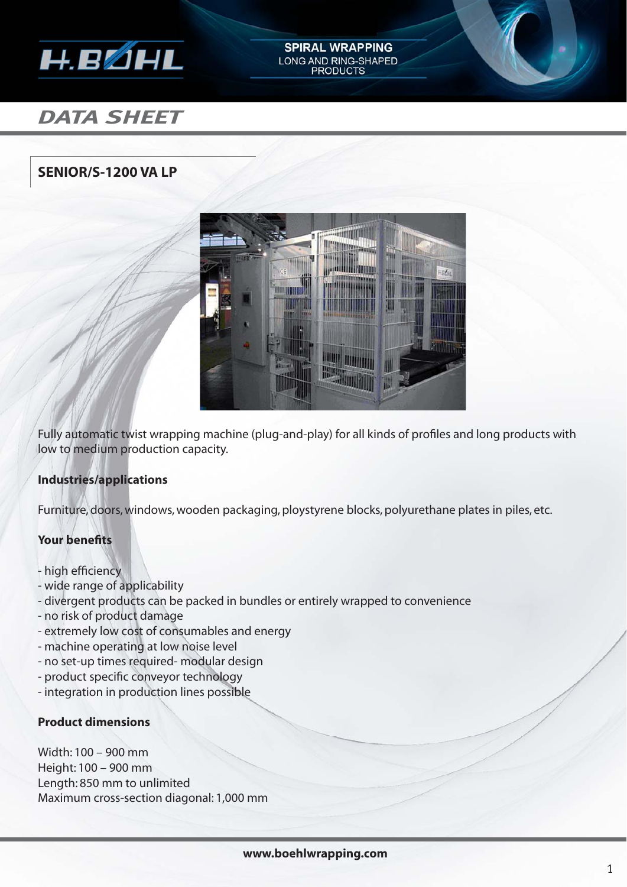

# *DATA SHEET*

## **SENIOR/S-1200 VA LP**



**SPIRAL WRAPPING** LONG AND RING-SHAPED **PRODUCTS** 

Fully automatic twist wrapping machine (plug-and-play) for all kinds of profiles and long products with low to medium production capacity.

#### **Industries/applications**

Furniture, doors, windows, wooden packaging, ploystyrene blocks, polyurethane plates in piles, etc.

#### **Your benefits**

- high efficiency
- wide range of applicability
- divergent products can be packed in bundles or entirely wrapped to convenience
- no risk of product damage
- extremely low cost of consumables and energy
- machine operating at low noise level
- no set-up times required- modular design
- product specific conveyor technology
- integration in production lines possible

#### **Product dimensions**

Width: 100 – 900 mm Height: 100 – 900 mm Length: 850 mm to unlimited Maximum cross-section diagonal: 1,000 mm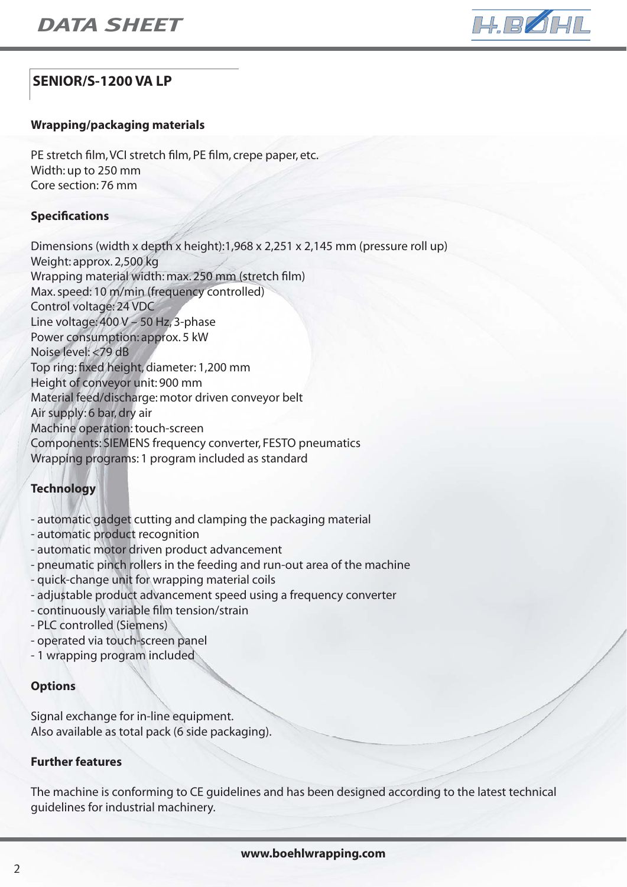

## **SENIOR/S-1200 VA LP**

#### **Wrapping/packaging materials**

PE stretch film, VCI stretch film, PE film, crepe paper, etc. Width: up to 250 mm Core section: 76 mm

#### **Specifi cations**

Dimensions (width x depth x height):1,968 x 2,251 x 2,145 mm (pressure roll up) Weight: approx. 2,500 kg Wrapping material width: max. 250 mm (stretch film) Max. speed: 10 m/min (frequency controlled) Control voltage: 24 VDC Line voltage: 400 V – 50 Hz, 3-phase Power consumption: approx. 5 kW Noise level: <79 dB Top ring: fixed height, diameter: 1,200 mm Height of conveyor unit: 900 mm Material feed/discharge: motor driven conveyor belt Air supply: 6 bar, dry air Machine operation: touch-screen Components: SIEMENS frequency converter, FESTO pneumatics Wrapping programs: 1 program included as standard

### **Technology**

- automatic gadget cutting and clamping the packaging material
- automatic product recognition
- automatic motor driven product advancement
- pneumatic pinch rollers in the feeding and run-out area of the machine
- quick-change unit for wrapping material coils
- adjustable product advancement speed using a frequency converter
- continuously variable film tension/strain
- PLC controlled (Siemens)
- operated via touch-screen panel
- 1 wrapping program included

#### **Options**

Signal exchange for in-line equipment. Also available as total pack (6 side packaging).

#### **Further features**

The machine is conforming to CE guidelines and has been designed according to the latest technical guidelines for industrial machinery.